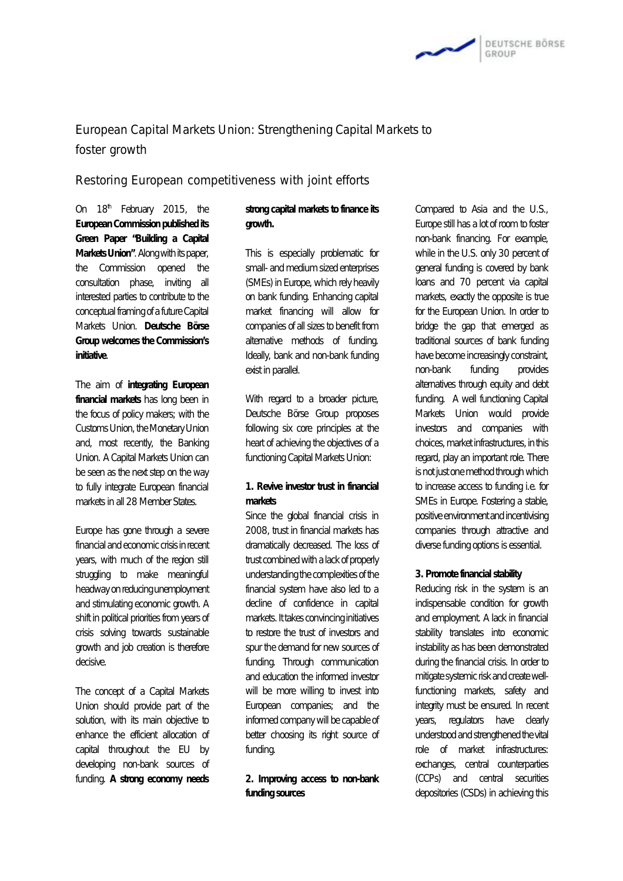

## European Capital Markets Union: Strengthening Capital Markets to foster growth

Restoring European competitiveness with joint efforts

On  $18<sup>th</sup>$  February 2015, the **European Commission published its Green Paper "Building a Capital MarketsUnion"**.Alongwithitspaper, the Commission opened the consultation phase, inviting all interested parties to contribute to the conceptual framing of a future Capital Markets Union. **Deutsche Börse Group welcomes theCommission's initiative**.

The aim of **integrating European financial markets** has long been in the focus of policy makers; with the Customs Union, the Monetary Union and, most recently, the Banking Union. A Capital Markets Union can be seen as the next step on the way to fully integrate European financial markets in all 28 Member States.

Europe has gone through a severe financialandeconomiccrisisinrecent years, with much of the region still struggling to make meaningful headwayonreducingunemployment and stimulating economic growth. A shift in political priorities from years of crisis solving towards sustainable growth and job creation is therefore decisive.

The concept of a Capital Markets Union should provide part of the solution, with its main objective to enhance the efficient allocation of capital throughout the EU by developing non-bank sources of funding. **A strong economy needs** 

## **strong capital markets to finance its growth.**

This is especially problematic for small- and medium sized enterprises (SMEs) in Europe, which rely heavily on bank funding. Enhancing capital market financing will allow for companies of all sizes to benefit from alternative methods of funding. Ideally, bank and non-bank funding exist in parallel.

With regard to a broader picture, Deutsche Börse Group proposes following six core principles at the heart of achieving the objectives of a functioning Capital Markets Union:

**1. Revive investor trust in financial markets** 

Since the global financial crisis in 2008, trust in financial markets has dramatically decreased. The loss of trust combined with a lack of properly understanding the complexities of the financial system have also led to a decline of confidence in capital markets. It takes convincing initiatives to restore the trust of investors and spur the demand for new sources of funding. Through communication and education the informed investor will be more willing to invest into European companies; and the informed company will be capable of better choosing its right source of funding.

**2. Improving access to non-bank funding sources** 

Compared to Asia and the U.S., Europe still has a lot of room to foster non-bank financing. For example, while in the U.S. only 30 percent of general funding is covered by bank loans and 70 percent via capital markets, exactly the opposite is true for the European Union. In order to bridge the gap that emerged as traditional sources of bank funding have become increasingly constraint, non-bank funding provides alternatives through equity and debt funding. A well functioning Capital Markets Union would provide investors and companies with choices, market infrastructures, in this regard, play an important role. There is not just one method through which to increase access to funding i.e. for SMEs in Europe. Fostering a stable, positiveenvironmentandincentivising companies through attractive and diverse funding options is essential.

**3. Promote financial stability** 

Reducing risk in the system is an indispensable condition for growth and employment. A lack in financial stability translates into economic instability as has been demonstrated during the financial crisis. In order to mitigate systemic risk and create wellfunctioning markets, safety and integrity must be ensured. In recent years, regulators have clearly understoodandstrengthenedthevital role of market infrastructures: exchanges, central counterparties (CCPs) and central securities depositories (CSDs) in achieving this